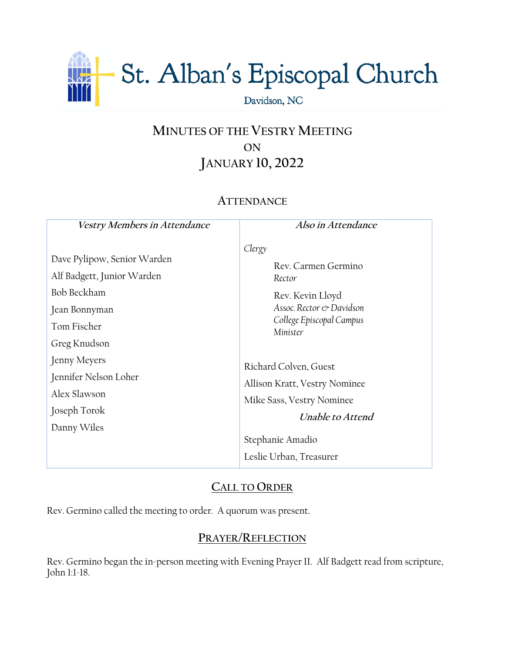

# **MINUTES OF THE VESTRY MEETING ON JANUARY 10, 2022**

# **ATTENDANCE**

| Vestry Members in Attendance                                                                                                             | Also in Attendance                                                                                                                                       |
|------------------------------------------------------------------------------------------------------------------------------------------|----------------------------------------------------------------------------------------------------------------------------------------------------------|
| Dave Pylipow, Senior Warden<br>Alf Badgett, Junior Warden<br>Bob Beckham<br>Jean Bonnyman<br>Tom Fischer<br>Greg Knudson<br>Jenny Meyers | Clergy<br>Rev. Carmen Germino<br>Rector<br>Rev. Kevin Lloyd<br>Assoc. Rector & Davidson<br>College Episcopal Campus<br>Minister<br>Richard Colven, Guest |
| Jennifer Nelson Loher<br>Alex Slawson<br>Joseph Torok<br>Danny Wiles                                                                     | Allison Kratt, Vestry Nominee<br>Mike Sass, Vestry Nominee<br>Unable to Attend<br>Stephanie Amadio<br>Leslie Urban, Treasurer                            |

# **CALL TO ORDER**

Rev. Germino called the meeting to order. A quorum was present.

### **PRAYER/REFLECTION**

Rev. Germino began the in-person meeting with Evening Prayer II. Alf Badgett read from scripture, John 1:1-18.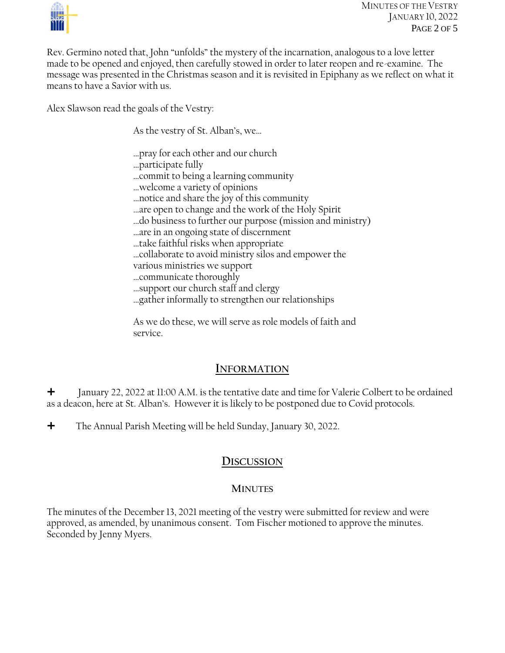

Rev. Germino noted that, John "unfolds" the mystery of the incarnation, analogous to a love letter made to be opened and enjoyed, then carefully stowed in order to later reopen and re-examine. The message was presented in the Christmas season and it is revisited in Epiphany as we reflect on what it means to have a Savior with us.

Alex Slawson read the goals of the Vestry:

As the vestry of St. Alban's, we…

…pray for each other and our church

…participate fully

…commit to being a learning community

- …welcome a variety of opinions
- …notice and share the joy of this community
- …are open to change and the work of the Holy Spirit
- …do business to further our purpose (mission and ministry)
- …are in an ongoing state of discernment
- …take faithful risks when appropriate
- …collaborate to avoid ministry silos and empower the
- various ministries we support
- …communicate thoroughly

…support our church staff and clergy

…gather informally to strengthen our relationships

As we do these, we will serve as role models of faith and service.

### **INFORMATION**

 $\pm$  January 22, 2022 at 11:00 A.M. is the tentative date and time for Valerie Colbert to be ordained as a deacon, here at St. Alban's. However it is likely to be postponed due to Covid protocols.

The Annual Parish Meeting will be held Sunday, January 30, 2022.

## **DISCUSSION**

#### **MINUTES**

The minutes of the December 13, 2021 meeting of the vestry were submitted for review and were approved, as amended, by unanimous consent. Tom Fischer motioned to approve the minutes. Seconded by Jenny Myers.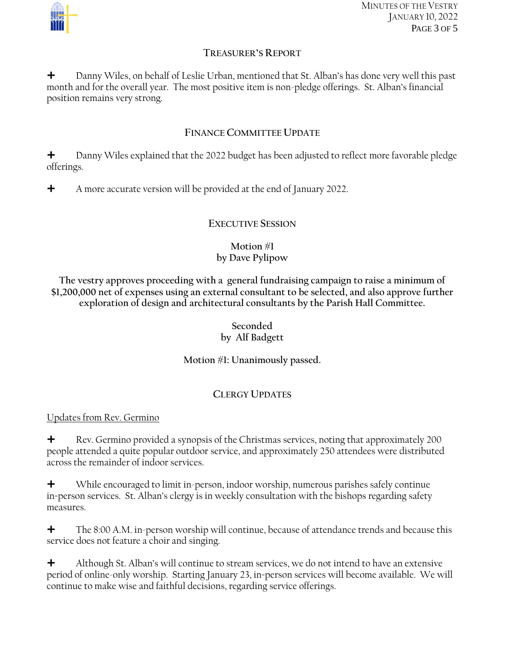

MINUTES OF THE VESTRY JANUARY 10, 2022 PAGE 3 OF 5

#### **TREASURER'S REPORT**

 Danny Wiles, on behalf of Leslie Urban, mentioned that St. Alban's has done very well this past month and for the overall year. The most positive item is non-pledge offerings. St. Alban's financial position remains very strong.

#### **FINANCE COMMITTEE UPDATE**

**+** Danny Wiles explained that the 2022 budget has been adjusted to reflect more favorable pledge offerings.

 $\blacklozenge$  A more accurate version will be provided at the end of January 2022.

#### **EXECUTIVE SESSION**

#### **Motion #1 by Dave Pylipow**

**The vestry approves proceeding with a general fundraising campaign to raise a minimum of \$1,200,000 net of expenses using an external consultant to be selected, and also approve further exploration of design and architectural consultants by the Parish Hall Committee.**

#### **Seconded by Alf Badgett**

#### **Motion #1: Unanimously passed.**

### **CLERGY UPDATES**

#### Updates from Rev. Germino

 $\bigstar$  Rev. Germino provided a synopsis of the Christmas services, noting that approximately 200 people attended a quite popular outdoor service, and approximately 250 attendees were distributed across the remainder of indoor services.

 While encouraged to limit in-person, indoor worship, numerous parishes safely continue in=person services. St. Alban's clergy is in weekly consultation with the bishops regarding safety measures.

 $\bigstar$  The 8:00 A.M. in-person worship will continue, because of attendance trends and because this service does not feature a choir and singing.

 $\bigstar$  Although St. Alban's will continue to stream services, we do not intend to have an extensive period of online-only worship. Starting January 23, in=person services will become available. We will continue to make wise and faithful decisions, regarding service offerings.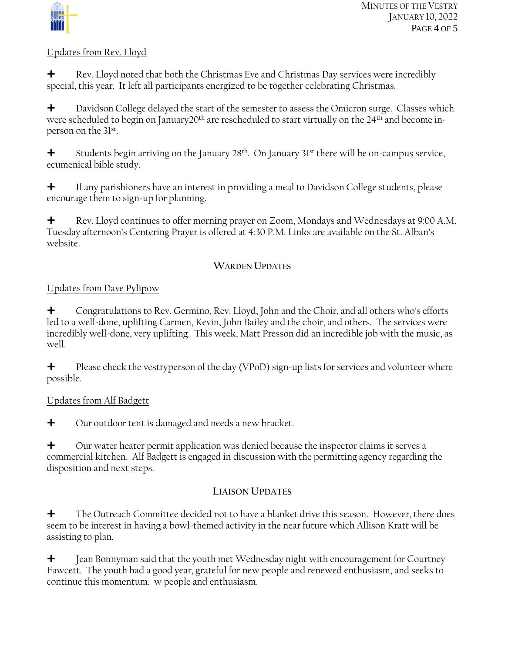

#### Updates from Rev. Lloyd

 $\bigstar$  Rev. Lloyd noted that both the Christmas Eve and Christmas Day services were incredibly special, this year. It left all participants energized to be together celebrating Christmas.

**+** Davidson College delayed the start of the semester to assess the Omicron surge. Classes which were scheduled to begin on January20<sup>th</sup> are rescheduled to start virtually on the 24<sup>th</sup> and become inperson on the 31st .

 $\bigstar$  Students begin arriving on the January 28<sup>th</sup>. On January 31<sup>st</sup> there will be on-campus service, ecumenical bible study.

 $\bigstar$  If any parishioners have an interest in providing a meal to Davidson College students, please encourage them to sign-up for planning.

**+** Rev. Lloyd continues to offer morning prayer on Zoom, Mondays and Wednesdays at 9:00 A.M. Tuesday afternoon's Centering Prayer is offered at 4:30 P.M. Links are available on the St. Alban's website.

#### **WARDEN UPDATES**

#### Updates from Dave Pylipow

 Congratulations to Rev. Germino, Rev. Lloyd, John and the Choir, and all others who's efforts led to a well-done, uplifting Carmen, Kevin, John Bailey and the choir, and others. The services were incredibly well-done, very uplifting. This week, Matt Presson did an incredible job with the music, as well.

 $\bigtriangleup$  Please check the vestryperson of the day (VPoD) sign-up lists for services and volunteer where possible.

#### Updates from Alf Badgett

 $\div$  Our outdoor tent is damaged and needs a new bracket.

 $\bigtriangleup$  Our water heater permit application was denied because the inspector claims it serves a commercial kitchen. Alf Badgett is engaged in discussion with the permitting agency regarding the disposition and next steps.

### **LIAISON UPDATES**

 The Outreach Committee decided not to have a blanket drive this season. However, there does seem to be interest in having a bowl-themed activity in the near future which Allison Kratt will be assisting to plan.

 $\bigstar$  Jean Bonnyman said that the youth met Wednesday night with encouragement for Courtney Fawcett. The youth had a good year, grateful for new people and renewed enthusiasm, and seeks to continue this momentum. w people and enthusiasm.